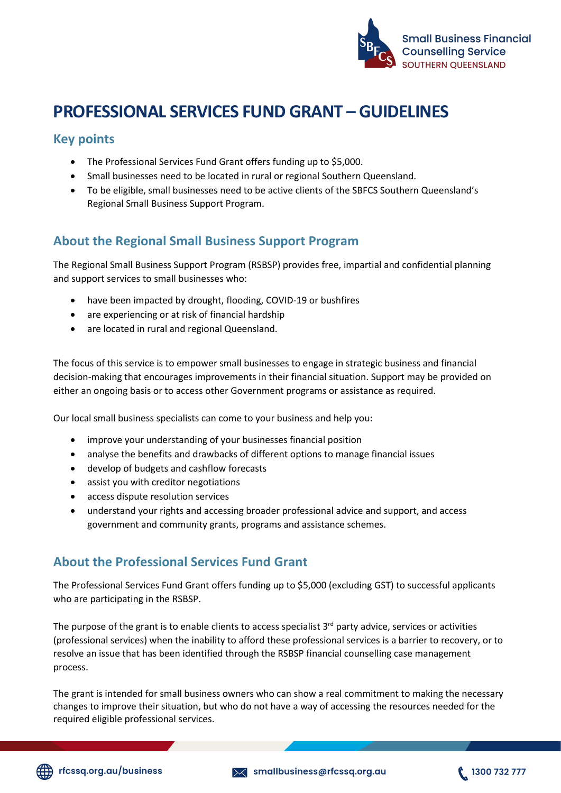

# **PROFESSIONAL SERVICES FUND GRANT – GUIDELINES**

#### **Key points**

- The Professional Services Fund Grant offers funding up to \$5,000.
- Small businesses need to be located in rural or regional Southern Queensland.
- To be eligible, small businesses need to be active clients of the SBFCS Southern Queensland's Regional Small Business Support Program.

## **About the Regional Small Business Support Program**

The Regional Small Business Support Program (RSBSP) provides free, impartial and confidential planning and support services to small businesses who:

- have been impacted by drought, flooding, COVID-19 or bushfires
- are experiencing or at risk of financial hardship
- are located in rural and regional Queensland.

The focus of this service is to empower small businesses to engage in strategic business and financial decision-making that encourages improvements in their financial situation. Support may be provided on either an ongoing basis or to access other Government programs or assistance as required.

Our local small business specialists can come to your business and help you:

- improve your understanding of your businesses financial position
- analyse the benefits and drawbacks of different options to manage financial issues
- develop of budgets and cashflow forecasts
- assist you with creditor negotiations
- access dispute resolution services
- understand your rights and accessing broader professional advice and support, and access government and community grants, programs and assistance schemes.

#### **About the Professional Services Fund Grant**

The Professional Services Fund Grant offers funding up to \$5,000 (excluding GST) to successful applicants who are participating in the RSBSP.

The purpose of the grant is to enable clients to access specialist 3<sup>rd</sup> party advice, services or activities (professional services) when the inability to afford these professional services is a barrier to recovery, or to resolve an issue that has been identified through the RSBSP financial counselling case management process.

The grant is intended for small business owners who can show a real commitment to making the necessary changes to improve their situation, but who do not have a way of accessing the resources needed for the required eligible professional services.

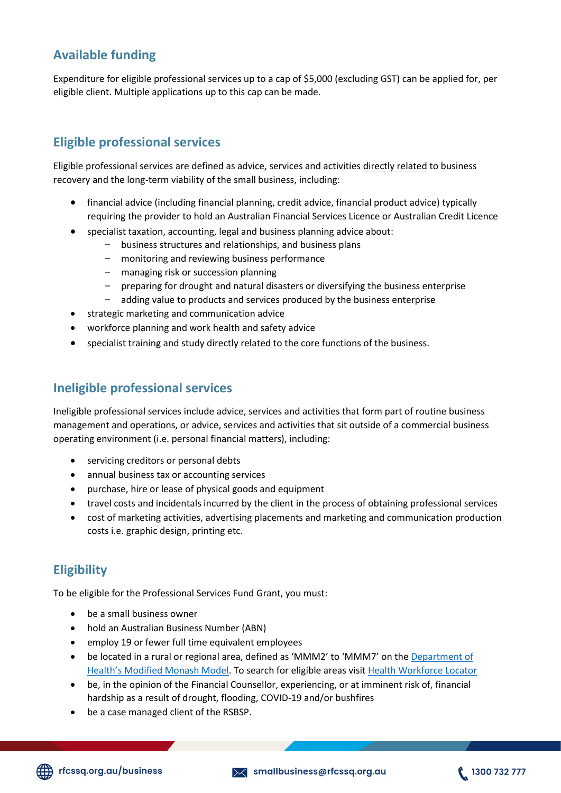# **Available funding**

Expenditure for eligible professional services up to a cap of \$5,000 (excluding GST) can be applied for, per eligible client. Multiple applications up to this cap can be made.

# **Eligible professional services**

Eligible professional services are defined as advice, services and activities directly related to business recovery and the long-term viability of the small business, including:

- financial advice (including financial planning, credit advice, financial product advice) typically requiring the provider to hold an Australian Financial Services Licence or Australian Credit Licence
- specialist taxation, accounting, legal and business planning advice about:
	- business structures and relationships, and business plans
	- monitoring and reviewing business performance
	- managing risk or succession planning
	- preparing for drought and natural disasters or diversifying the business enterprise
	- adding value to products and services produced by the business enterprise
- strategic marketing and communication advice
- workforce planning and work health and safety advice
- specialist training and study directly related to the core functions of the business.

#### **Ineligible professional services**

Ineligible professional services include advice, services and activities that form part of routine business management and operations, or advice, services and activities that sit outside of a commercial business operating environment (i.e. personal financial matters), including:

- servicing creditors or personal debts
- annual business tax or accounting services
- purchase, hire or lease of physical goods and equipment
- travel costs and incidentals incurred by the client in the process of obtaining professional services
- cost of marketing activities, advertising placements and marketing and communication production costs i.e. graphic design, printing etc.

## **Eligibility**

To be eligible for the Professional Services Fund Grant, you must:

- be a small business owner
- hold an Australian Business Number (ABN)
- employ 19 or fewer full time equivalent employees
- be located in a rural or regional area, defined as 'MMM2' to 'MMM7' on the [Department of](https://www.health.gov.au/health-topics/rural-health-workforce/classifications/mmm)  [Health's Modified Monash Model](https://www.health.gov.au/health-topics/rural-health-workforce/classifications/mmm). To search for eligible areas visit [Health Workforce Locator](https://www.health.gov.au/resources/apps-and-tools/health-workforce-locator/health-workforce-locator)
- be, in the opinion of the Financial Counsellor, experiencing, or at imminent risk of, financial hardship as a result of drought, flooding, COVID-19 and/or bushfires
- be a case managed client of the RSBSP.

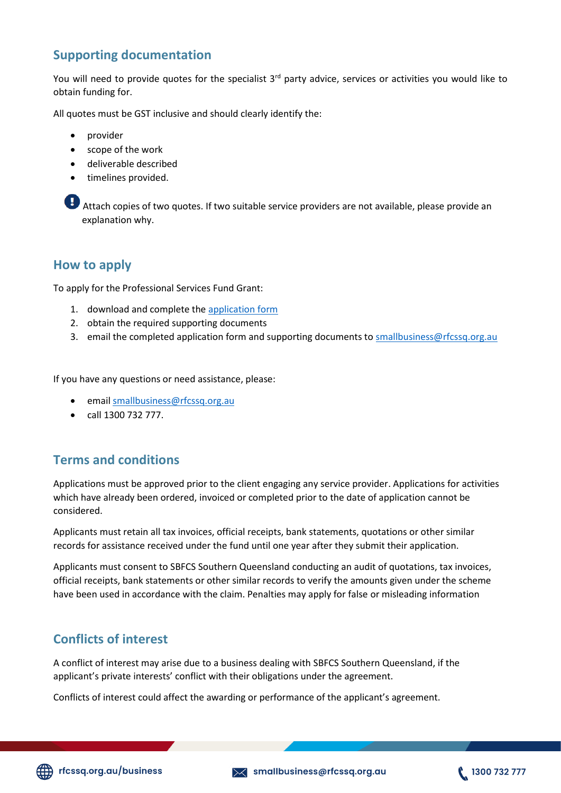## **Supporting documentation**

You will need to provide quotes for the specialist 3<sup>rd</sup> party advice, services or activities you would like to obtain funding for.

All quotes must be GST inclusive and should clearly identify the:

- provider
- scope of the work
- deliverable described
- timelines provided.

Attach copies of two quotes. If two suitable service providers are not available, please provide an explanation why.

#### **How to apply**

To apply for the Professional Services Fund Grant:

- 1. download and complete the [application form](https://www.rfcssq.org.au/wp-content/uploads/2022/06/PSF-grant-application-form-062022.pdf)
- 2. obtain the required supporting documents
- 3. email the completed application form and supporting documents t[o smallbusiness@rfcssq.org.au](mailto:smallbusiness@rfcssq.org.au)

If you have any questions or need assistance, please:

- email [smallbusiness@rfcssq.org.au](mailto:smallbusiness@rfcssq.org.au)
- call 1300 732 777.

## **Terms and conditions**

Applications must be approved prior to the client engaging any service provider. Applications for activities which have already been ordered, invoiced or completed prior to the date of application cannot be considered.

Applicants must retain all tax invoices, official receipts, bank statements, quotations or other similar records for assistance received under the fund until one year after they submit their application.

Applicants must consent to SBFCS Southern Queensland conducting an audit of quotations, tax invoices, official receipts, bank statements or other similar records to verify the amounts given under the scheme have been used in accordance with the claim. Penalties may apply for false or misleading information

## **Conflicts of interest**

A conflict of interest may arise due to a business dealing with SBFCS Southern Queensland, if the applicant's private interests' conflict with their obligations under the agreement.

Conflicts of interest could affect the awarding or performance of the applicant's agreement.